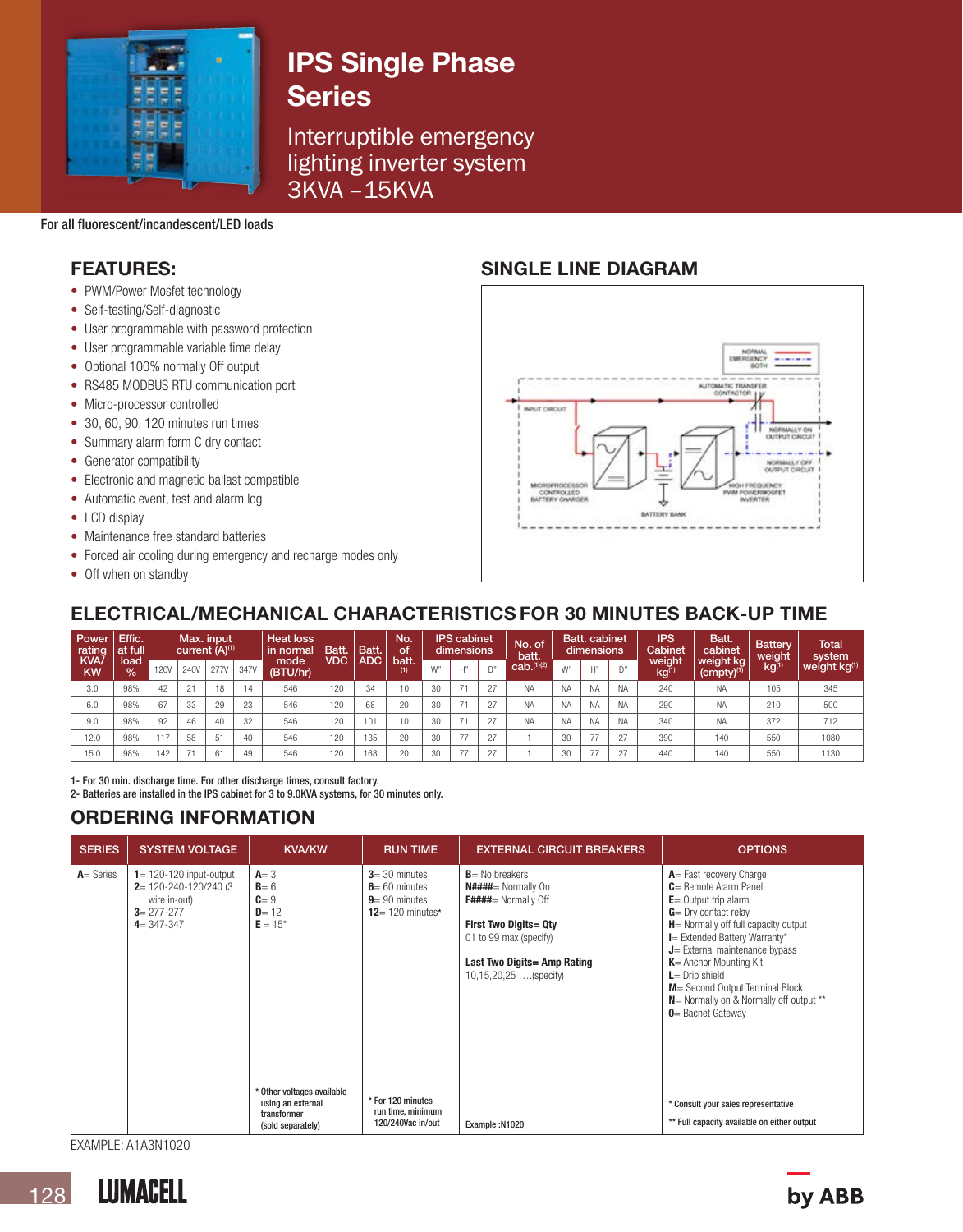

# IPS Single Phase **Series**

Interruptible emergency lighting inverter system 3KVA –15KVA

For all fluorescent/incandescent/LED loads

- PWM/Power Mosfet technology
- Self-testing/Self-diagnostic
- User programmable with password protection
- User programmable variable time delay
- Optional 100% normally Off output
- RS485 MODBUS RTU communication port
- Micro-processor controlled
- 30, 60, 90, 120 minutes run times
- Summary alarm form C dry contact
- Generator compatibility
- Electronic and magnetic ballast compatible
- Automatic event, test and alarm log
- LCD display
- Maintenance free standard batteries
- Forced air cooling during emergency and recharge modes only
- Off when on standby

# FEATURES: SINGLE LINE DIAGRAM



# ELECTRICAL/MECHANICAL CHARACTERISTICS FOR 30 MINUTES BACK-UP TIME

| Power<br>rating         | Effic.<br>at full     | Max. input.<br>current (A) <sup>(1)</sup> |      |             | <b>Heat loss</b><br><b>Batt</b><br>in normal | Batt.            | No.<br>Οf | <b>IPS</b> cabinet<br>dimensions |              | No. of<br>batt. | <b>Batt.</b> cabinet<br>dimensions |                | IPS<br>Cabinet         | Batt.<br>cabinet | <b>Battery</b><br>weight | Total<br>system |                            |                              |            |                          |
|-------------------------|-----------------------|-------------------------------------------|------|-------------|----------------------------------------------|------------------|-----------|----------------------------------|--------------|-----------------|------------------------------------|----------------|------------------------|------------------|--------------------------|-----------------|----------------------------|------------------------------|------------|--------------------------|
| <b>KVA</b><br><b>KW</b> | load<br>$\frac{1}{2}$ | <b>120V</b>                               | 240V | <b>277V</b> | 347V                                         | mode<br>(BTU/hr) | VDC       | ADC                              | batt.<br>(1) | W"              | 1.127                              | $\mathsf{D}^n$ | cab. <sup>(1)(2)</sup> | W"               | H''                      | $\bigcap$ "     | weight<br>kg <sup>(1</sup> | weight kg<br>$(empty)^{(1)}$ | $kg^{(1)}$ | weight kg <sup>(1)</sup> |
| 3.0                     | 98%                   | 42                                        | 21   | 18          | 14                                           | 546              | 120       | 34                               | 10           | 30              | $\rightarrow$                      | 27             | <b>NA</b>              | <b>NA</b>        | <b>NA</b>                | <b>NA</b>       | 240                        | <b>NA</b>                    | 105        | 345                      |
| 6.0                     | 98%                   | 67                                        | 33   | 29          | $\Omega$<br>20                               | 546              | 120       | 68                               | 20           | 30              | - -                                | 27             | <b>NA</b>              | <b>NA</b>        | <b>NA</b>                | <b>NA</b>       | 290                        | <b>NA</b>                    | 210        | 500                      |
| 9.0                     | 98%                   | 92                                        | 46   | 40          | 32                                           | 546              | 120       | 101                              | 10           | 30              | $\rightarrow$                      | 27             | <b>NA</b>              | <b>NA</b>        | <b>NA</b>                | <b>NA</b>       | 340                        | <b>NA</b>                    | 372        | 712                      |
| 12.0                    | 98%                   | 117                                       | 58   | 51          | 40                                           | 546              | 120       | 135                              | 20           | 30              | 77                                 | 27             |                        | 30               | 77                       | 27              | 390                        | 140                          | 550        | 1080                     |
| 15.0                    | 98%                   | 42                                        |      | 61          | 49                                           | 546              | 120       | 168                              | 20           | 30              | 77                                 | 27             |                        | 30               |                          | 27              | 440                        | 140                          | 550        | 1130                     |

1- For 30 min. discharge time. For other discharge times, consult factory.

2- Batteries are installed in the IPS cabinet for 3 to 9.0KVA systems, for 30 minutes only.

# ORDERING INFORMATION

| <b>SERIES</b> | <b>SYSTEM VOLTAGE</b>                                                                                              | <b>KVA/KW</b>                                                                       | <b>RUN TIME</b>                                                                 | <b>EXTERNAL CIRCUIT BREAKERS</b>                                                                                                                                                       | <b>OPTIONS</b>                                                                                                                                                                                                                                                                                                                                                                                         |
|---------------|--------------------------------------------------------------------------------------------------------------------|-------------------------------------------------------------------------------------|---------------------------------------------------------------------------------|----------------------------------------------------------------------------------------------------------------------------------------------------------------------------------------|--------------------------------------------------------------------------------------------------------------------------------------------------------------------------------------------------------------------------------------------------------------------------------------------------------------------------------------------------------------------------------------------------------|
| $A = Series$  | $1 = 120 - 120$ input-output<br>$2 = 120 - 240 - 120/240$ (3<br>wire in-out)<br>$3 = 277 - 277$<br>$4 = 347 - 347$ | $A = 3$<br>$B = 6$<br>$C = 9$<br>$D = 12$<br>$E = 15*$                              | $3 = 30$ minutes<br>$6 = 60$ minutes<br>$9 = 90$ minutes<br>$12 = 120$ minutes* | $B$ = No breakers<br>N####= Normally On<br>F####= Normally Off<br><b>First Two Digits= Qty</b><br>01 to 99 max (specify)<br>Last Two Digits = Amp Rating<br>$10, 15, 20, 25$ (specify) | $A =$ Fast recovery Charge<br>$C =$ Remote Alarm Panel<br>$E =$ Output trip alarm<br>$G = \text{Dry contact relay}$<br>$H$ = Normally off full capacity output<br>I = Extended Battery Warranty*<br>$J$ = External maintenance bypass<br>$K$ = Anchor Mounting Kit<br>$L =$ Drip shield<br>M = Second Output Terminal Block<br>$N$ = Normally on & Normally off output **<br><b>0</b> = Bacnet Gateway |
|               |                                                                                                                    | * Other voltages available<br>using an external<br>transformer<br>(sold separately) | * For 120 minutes<br>run time, minimum<br>120/240Vac in/out                     | Example: N1020                                                                                                                                                                         | * Consult your sales representative<br>** Full capacity available on either output                                                                                                                                                                                                                                                                                                                     |

EXAMPLE: A1A3N1020